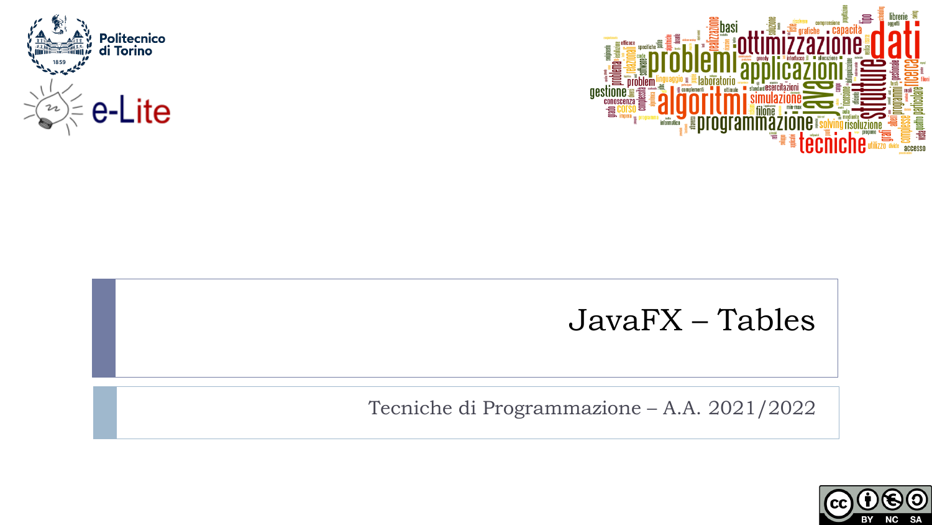



### JavaFX – Tables

Tecniche di Programmazione – A.A. 2021/2022

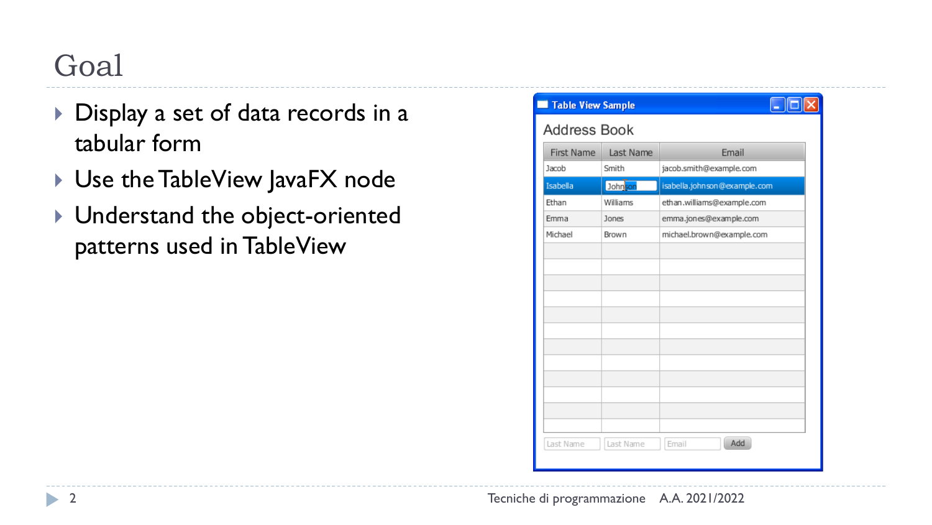## Goal

- Display a set of data records in a tabular form
- ▶ Use the TableView JavaFX node
- $\blacktriangleright$  Understand the object-oriented patterns used in TableView

| Table View Sample   |           |                              |  |  |  |
|---------------------|-----------|------------------------------|--|--|--|
| <b>Address Book</b> |           |                              |  |  |  |
| <b>First Name</b>   | Last Name | Email                        |  |  |  |
| Jacob               | Smith     | jacob.smith@example.com      |  |  |  |
| Isabella            | Johnson   | isabella.johnson@example.com |  |  |  |
| Ethan               | Williams  | ethan.williams@example.com   |  |  |  |
| Emma                | Jones     | emma.jones@example.com       |  |  |  |
| Michael             | Brown     | michael.brown@example.com    |  |  |  |
|                     |           |                              |  |  |  |
|                     |           |                              |  |  |  |
|                     |           |                              |  |  |  |
|                     |           |                              |  |  |  |
|                     |           |                              |  |  |  |
|                     |           |                              |  |  |  |
|                     |           |                              |  |  |  |
|                     |           |                              |  |  |  |
|                     |           |                              |  |  |  |
|                     |           |                              |  |  |  |
|                     |           |                              |  |  |  |
|                     |           |                              |  |  |  |
| Last Name           | Last Name | Add<br>Email                 |  |  |  |
|                     |           |                              |  |  |  |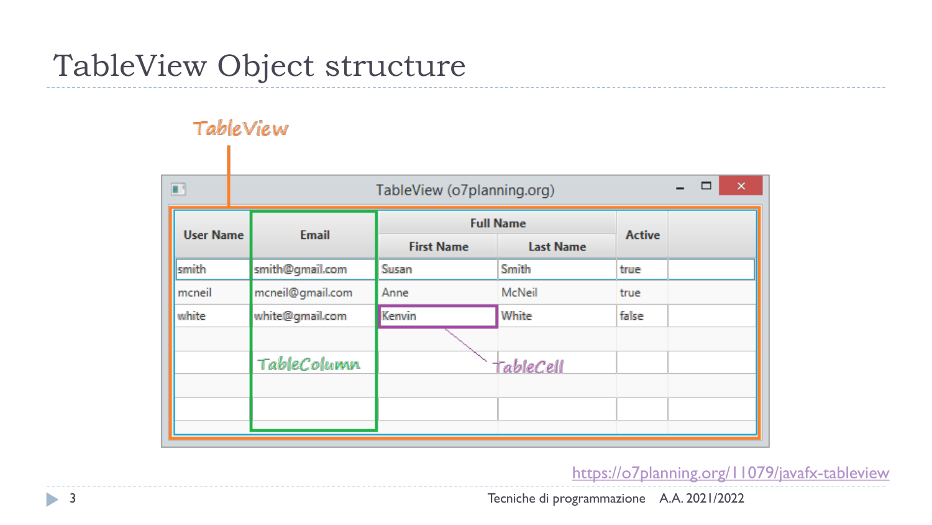### TableView Object structure

#### TableView

|                  |                   |                  |                                                             | ×<br>□<br>- |
|------------------|-------------------|------------------|-------------------------------------------------------------|-------------|
| <b>Email</b>     | <b>First Name</b> | <b>Last Name</b> | <b>Active</b>                                               |             |
| smith@gmail.com  | Susan             | Smith            | true                                                        |             |
| mcneil@gmail.com | Anne              | McNeil           | true                                                        |             |
| white@gmail.com  | Kenvin            | White            | false                                                       |             |
| TableColumn      |                   |                  |                                                             |             |
| <b>User Name</b> |                   |                  | TableView (o7planning.org)<br><b>Full Name</b><br>TableCell |             |

<https://o7planning.org/11079/javafx-tableview>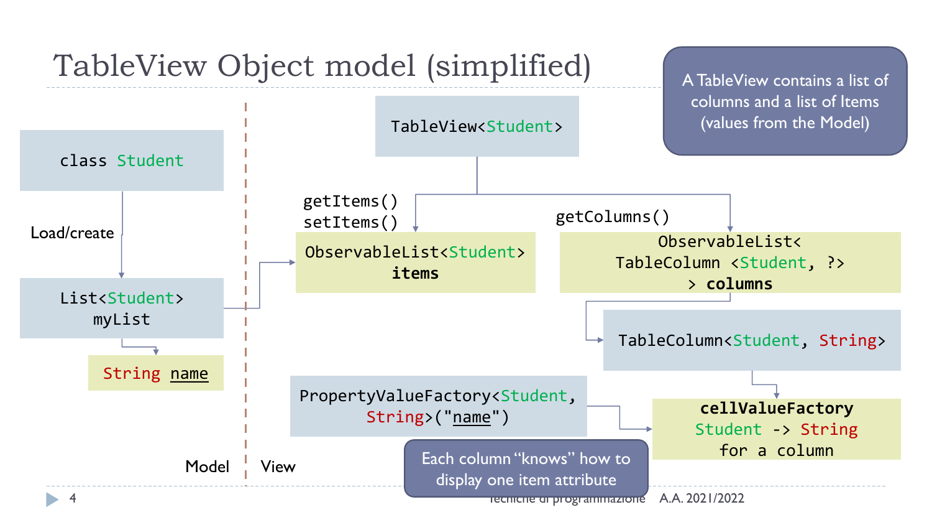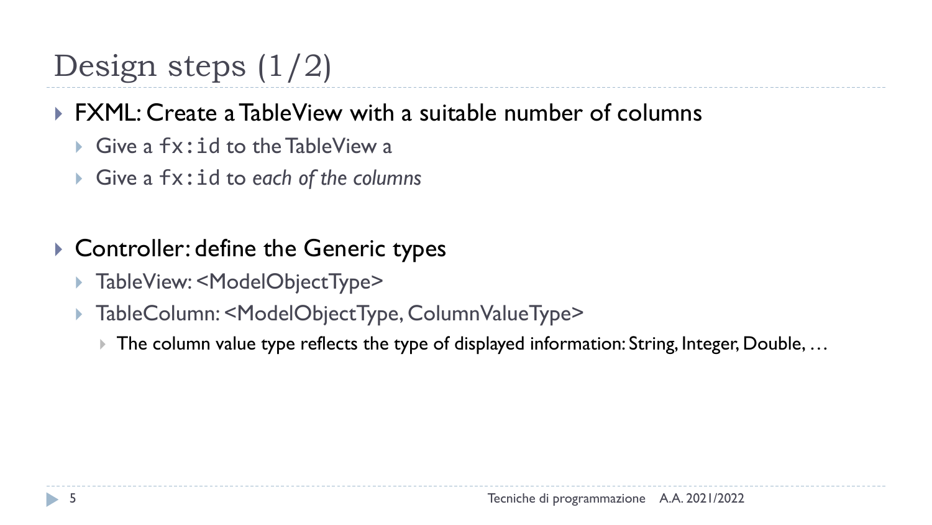# Design steps  $(1/2)$

### ▶ FXML: Create a TableView with a suitable number of columns

- $\blacktriangleright$  Give a  $fx:id$  to the TableView a
- Give a fx:id to *each of the columns*
- ▶ Controller: define the Generic types
	- TableView: <ModelObjectType>
	- TableColumn: <ModelObjectType, ColumnValueType>
		- The column value type reflects the type of displayed information: String, Integer, Double, …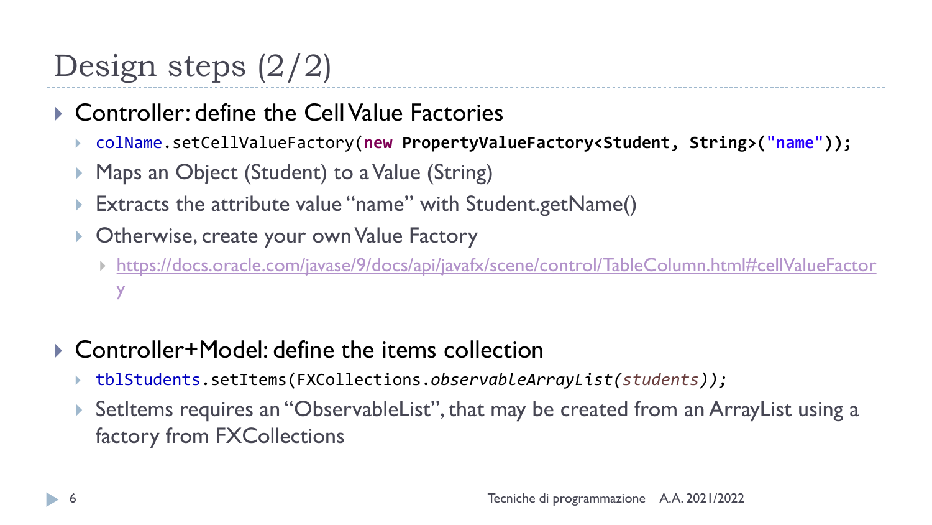# Design steps (2/2)

- ▶ Controller: define the Cell Value Factories
	- colName.setCellValueFactory(**new PropertyValueFactory<Student, String>("name"));**
	- Maps an Object (Student) to a Value (String)
	- Extracts the attribute value "name" with Student.getName()
	- Otherwise, create your ownValue Factory
		- [https://docs.oracle.com/javase/9/docs/api/javafx/scene/control/TableColumn.html#cellValueFactor](https://docs.oracle.com/javase/9/docs/api/javafx/scene/control/TableColumn.html#cellValueFactory)  $\chi$
- ▶ Controller+Model: define the items collection
	- tblStudents.setItems(FXCollections.*observableArrayList(students));*
	- SetItems requires an "ObservableList", that may be created from an ArrayList using a factory from FXCollections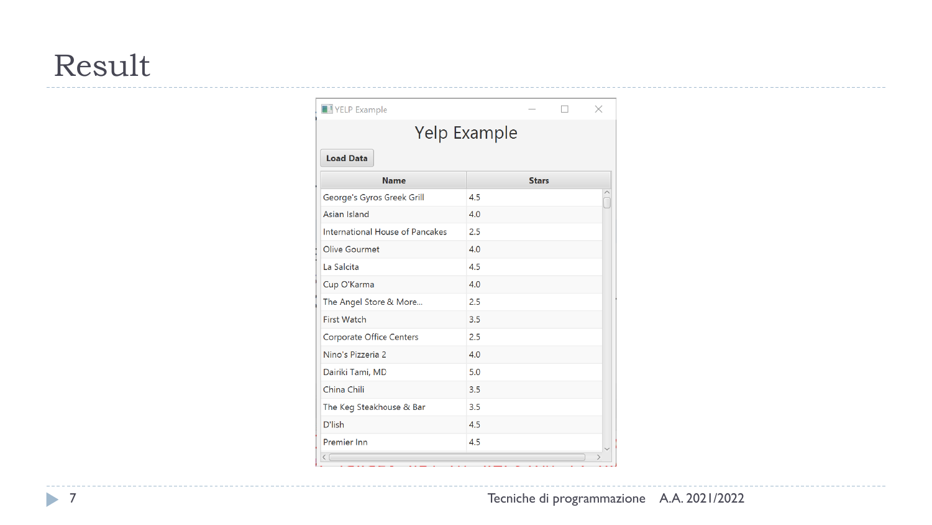### Result

| Yelp Example                    |              |  |  |  |  |  |  |  |  |
|---------------------------------|--------------|--|--|--|--|--|--|--|--|
| <b>Load Data</b>                |              |  |  |  |  |  |  |  |  |
| <b>Name</b>                     | <b>Stars</b> |  |  |  |  |  |  |  |  |
| George's Gyros Greek Grill      | 4.5          |  |  |  |  |  |  |  |  |
| Asian Island                    | 4.0          |  |  |  |  |  |  |  |  |
| International House of Pancakes | 2.5          |  |  |  |  |  |  |  |  |
| <b>Olive Gourmet</b>            | 4.0          |  |  |  |  |  |  |  |  |
| La Salcita                      | 4.5          |  |  |  |  |  |  |  |  |
| Cup O'Karma                     | 4.0          |  |  |  |  |  |  |  |  |
| The Angel Store & More          | 2.5          |  |  |  |  |  |  |  |  |
| <b>First Watch</b>              | 3.5          |  |  |  |  |  |  |  |  |
| <b>Corporate Office Centers</b> | 2.5          |  |  |  |  |  |  |  |  |
| Nino's Pizzeria 2               | 4.0          |  |  |  |  |  |  |  |  |
| Dairiki Tami, MD                | 5.0          |  |  |  |  |  |  |  |  |
| China Chili                     | 3.5          |  |  |  |  |  |  |  |  |
| The Keg Steakhouse & Bar        | 3.5          |  |  |  |  |  |  |  |  |
| D'lish                          | 4.5          |  |  |  |  |  |  |  |  |
| Premier Inn                     | 4.5          |  |  |  |  |  |  |  |  |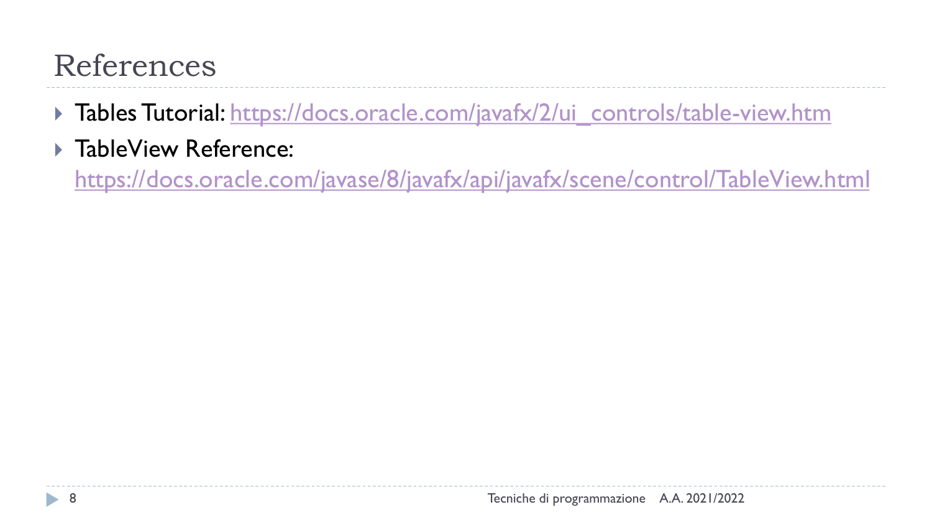# References

- Tables Tutorial: [https://docs.oracle.com/javafx/2/ui\\_controls/table-view.htm](https://docs.oracle.com/javafx/2/ui_controls/table-view.htm)
- ▶ TableView Reference:

<https://docs.oracle.com/javase/8/javafx/api/javafx/scene/control/TableView.html>